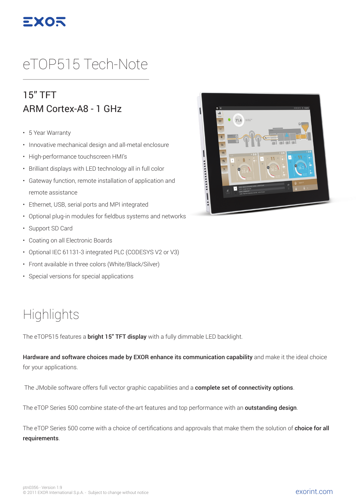

# eTOP515 Tech-Note

#### 15" TFT ARM Cortex-A8 - 1 GHz

- 5 Year Warranty
- Innovative mechanical design and all-metal enclosure
- High-performance touchscreen HMI's
- Brilliant displays with LED technology all in full color
- Gateway function, remote installation of application and remote assistance
- Ethernet, USB, serial ports and MPI integrated
- Optional plug-in modules for fieldbus systems and networks
- Support SD Card
- Coating on all Electronic Boards
- Optional IEC 61131-3 integrated PLC (CODESYS V2 or V3)
- Front available in three colors (White/Black/Silver)
- Special versions for special applications

## **Highlights**

The eTOP515 features a **bright 15" TFT display** with a fully dimmable LED backlight.

Hardware and software choices made by EXOR enhance its communication capability and make it the ideal choice for your applications.

The JMobile software offers full vector graphic capabilities and a complete set of connectivity options.

The eTOP Series 500 combine state-of-the-art features and top performance with an **outstanding design**.

The eTOP Series 500 come with a choice of certifications and approvals that make them the solution of **choice for all** requirements.